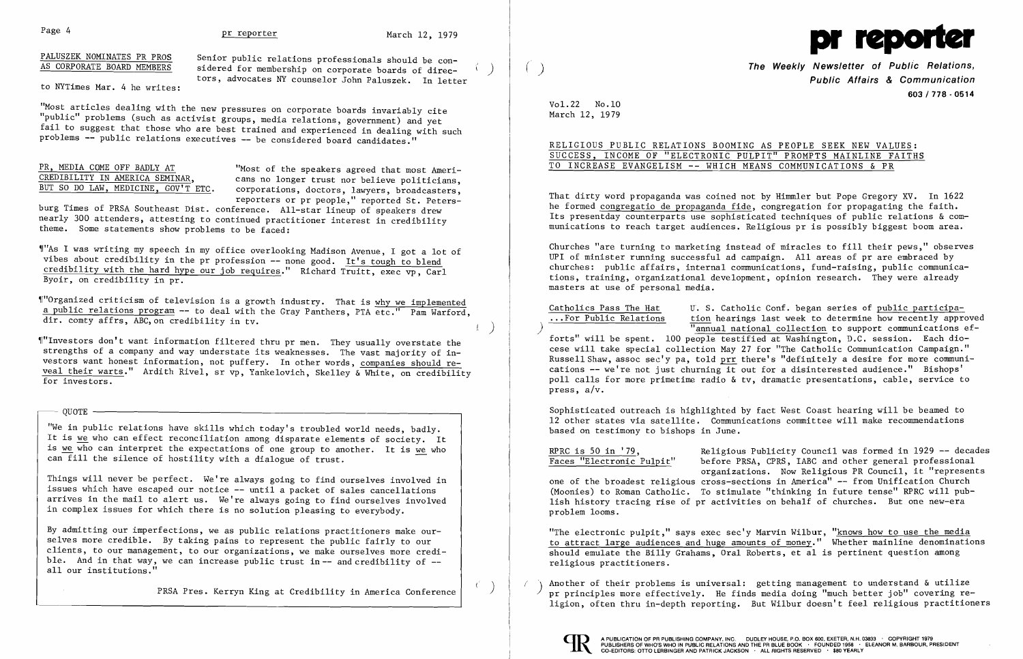# Page 4 **pr reporter pr reporter** March 12, 1979

## PALUSZEK NOMINATES PR PROS AS CORPORATE BOARD MEMBERS

to NYTimes Mar. 4 he writes:

"Most articles dealing with the new pressures on corporate boards invariably cite "public" problems (such as activist groups, media relations, government) and yet fail to suggest that those who are best trained and experienced in dealing with such problems -- public relations executives -- be considered board candidates."

Senior public relations professionals should be considered for membership on corporate boards of directors, advocates NY counselor John Pa1uszek. In letter

)

 $\left( \begin{array}{c} \end{array} \right)$ 

 $($ 

~r"As I was writing my speech in my office overlooking Madison Avenue, I got a lot of vibes about credibility in the pr profession -- none good. It's tough to blend credibility with the hard hype our job requires." Richard Truitt, exec vp, Carl Byoir, on credibility in  $pr.$ 

# PR, MEDIA COME OFF BADLY AT CREDIBILITY IN AMERICA SEMINAR, BUT SO DO LAW, MEDICINE, GOV'T ETC.

"Most of the speakers agreed that most Americans no longer trust nor believe politicians, corporations, doctors, lawyers, broadcasters, reporters or pr people," reported St. Peters-

burg Times of PRSA Southeast Dist. conference. All-star lineup of speakers drew nearly 300 attenders, attesting to continued practitioner interest in credibility theme. Some statements show problems to be faced:

~["Organized criticism of television is a growth industry. That is why we implemented a public relations program -- to deal with the Gray Panthers, PTA etc." Pam Warford, dir. comty affrs, ABC,on credibility in tv.

**The Weekly Newsletter of Public Relations, Public Affairs & Communication 603/778 - 0514** 

~1"Investors don't want information filtered thru pr men. They usually overstate the strengths of a company and way understate its weaknesses. The vast majority of investors want honest information, not puffery. In other words, companies should reveal their warts." Ardith Rivel, sr vp, Yankelovich, Skelley & White, on credibility for investors.

- QUOTE I

"We in public relations have skills which today's troubled world needs, badly. It is we who can effect reconciliation among disparate elements of society. It is we who can interpret the expectations of one group to another. It is we who can fill the silence of hostility with a dialogue of trust.

RPRC is 50 in '79,<br>Faces "Electronic Pulpit" before PRSA, CPRS, IABC and other general professional before PRSA, CPRS, IABC and other general professional organizations. Now Religious PR Council, it "represents one of the broadest religious cross-sections in America" -- from Unification Church (Moonies) to Roman Catholic. To stimulate "thinking in future tense" RPRC will publish history tracing rise of pr activities on behalf of churches. But one new-era problem looms.

Things will never be perfect. We're always going to find ourselves involved in issues which have escaped our notice  $--$  until a packet of sales cancellations arrives in the mail to alert us. We're always going to find ourselves involved in complex issues for which there is no solution pleasing to everybody.

> "The electronic pulpit," says exec sec'y Marvin Wilbur, "knows how to use the media to attract large audiences and huge amounts of money." Whether mainline denominations should emulate the Billy Grahams, Oral Roberts, et a1 is pertinent question among religious practitioners.

Another of their problems is universal: getting management to understand  $\&$  utilize pr principles more effectively. He finds media doing "much better job" covering religion, often thru in-depth reporting. But Wilbur doesn't feel religious practitioners



By admitting our imperfections, we as public relations practitioners make ourselves more credible. By taking pains to represent the public fairly to our clients, to our management, to our organizations, we make ourselves more credible. And in that way, we can increase public trust in  $-$  and credibility of  $$ all our institutions."

PRSA Pres. Kerryn King at Credibility in America Conference



Vol. 22 No .10 March 12, 1979

RELIGIOUS PUBLIC RELATIONS BOOMING AS PEOPLE SEEK NEW VALUES: SUCCESS, INCOME OF "ELECTRONIC PULPIT" PROMPTS MAINLINE FAITHS TO INCREASE EVANGELISM -- WHICH MEANS COMMUNICATIONS & PR

That dirty word propaganda was coined not by Himm1er but Pope Gregory XV. In 1622 he formed congregatio de propaganda fide, congregation for propagating the faith. Its presentday counterparts use sophisticated techniques of public relations & communications to reach target audiences. Religious pr is possibly biggest boom area.

Churches "are turning to marketing instead of miracles to fill their pews," observes UPI of minister running successful ad campaign. All areas of pr are embraced by churches: public affairs, internal communications, fund-raising, public communications, training, organizational development, opinion research. They were already masters at use of personal media.

Catholics Pass The Hat

U. S. Catholic Conf. began series of public participa-... For Public Relations tion hearings last week to determine how recently approved "annual national collection to support communications efforts" will be spent. 100 people testified at Washington, D.C. session. Each diocese will take special collection May 27 for "The Catholic Communication Campaign." Russell Shaw, assoc sec'y pa, told prr there's "definitely a desire for more communications -- we're not just churning it out for a disinterested audience." Bishops' poll calls for more primetime radio & tv, dramatic presentations, cable, service to press,  $a/v$ .

Sophisticated outreach is highlighted by fact West Coast hearing will be beamed to 12 other states via satellite. Communications committee will make recommendations based on testimony to bishops in June.